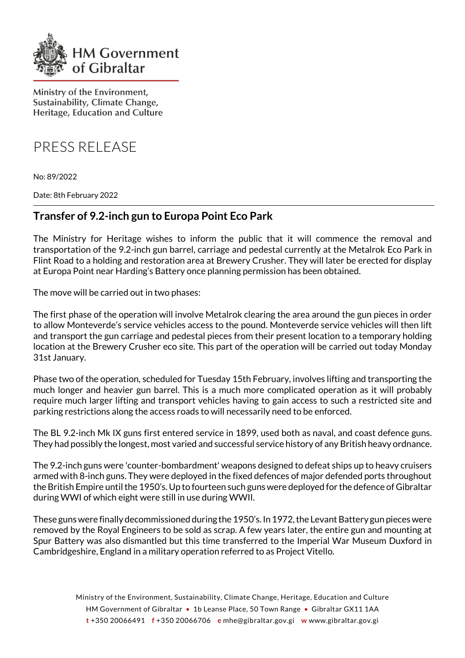

Ministry of the Environment, Sustainability, Climate Change, Heritage, Education and Culture

PRESS RELEASE

No: 89/2022

Date: 8th February 2022

## **Transfer of 9.2-inch gun to Europa Point Eco Park**

The Ministry for Heritage wishes to inform the public that it will commence the removal and transportation of the 9.2-inch gun barrel, carriage and pedestal currently at the Metalrok Eco Park in Flint Road to a holding and restoration area at Brewery Crusher. They will later be erected for display at Europa Point near Harding's Battery once planning permission has been obtained.

The move will be carried out in two phases:

The first phase of the operation will involve Metalrok clearing the area around the gun pieces in order to allow Monteverde's service vehicles access to the pound. Monteverde service vehicles will then lift and transport the gun carriage and pedestal pieces from their present location to a temporary holding location at the Brewery Crusher eco site. This part of the operation will be carried out today Monday 31st January.

Phase two of the operation, scheduled for Tuesday 15th February, involves lifting and transporting the much longer and heavier gun barrel. This is a much more complicated operation as it will probably require much larger lifting and transport vehicles having to gain access to such a restricted site and parking restrictions along the access roads to will necessarily need to be enforced.

The BL 9.2-inch Mk IX guns first entered service in 1899, used both as naval, and coast defence guns. They had possibly the longest, most varied and successful service history of any British heavy ordnance.

The 9.2-inch guns were 'counter-bombardment' weapons designed to defeat ships up to heavy cruisers armed with 8-inch guns. They were deployed in the fixed defences of major defended ports throughout the British Empire until the 1950's. Up to fourteen such guns were deployed for the defence of Gibraltar during WWI of which eight were still in use during WWII.

These guns were finally decommissioned during the 1950's. In 1972, the Levant Battery gun pieces were removed by the Royal Engineers to be sold as scrap. A few years later, the entire gun and mounting at Spur Battery was also dismantled but this time transferred to the Imperial War Museum Duxford in Cambridgeshire, England in a military operation referred to as Project Vitello.